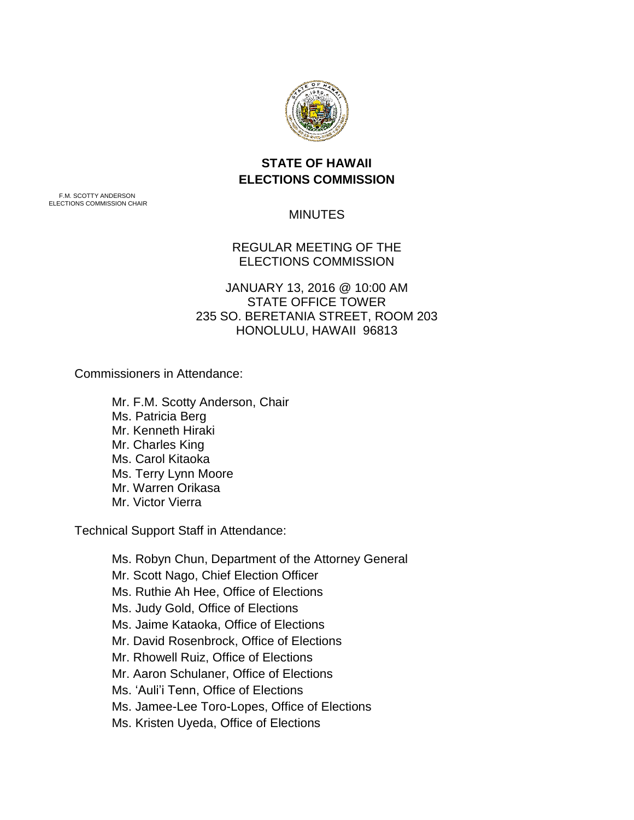

# **STATE OF HAWAII ELECTIONS COMMISSION**

F.M. SCOTTY ANDERSON ELECTIONS COMMISSION CHAIR

## **MINUTES**

## REGULAR MEETING OF THE ELECTIONS COMMISSION

 235 SO. BERETANIA STREET, ROOM 203 HONOLULU, HAWAII 96813 JANUARY 13, 2016 @ 10:00 AM STATE OFFICE TOWER

Commissioners in Attendance:

Mr. F.M. Scotty Anderson, Chair Ms. Patricia Berg Mr. Kenneth Hiraki Mr. Charles King Ms. Carol Kitaoka Ms. Terry Lynn Moore Mr. Warren Orikasa Mr. Victor Vierra

Technical Support Staff in Attendance:

 Ms. Ruthie Ah Hee, Office of Elections Ms. Jaime Kataoka, Office of Elections Mr. Rhowell Ruiz, Office of Elections Ms. Jamee-Lee Toro-Lopes, Office of Elections Ms. Robyn Chun, Department of the Attorney General Mr. Scott Nago, Chief Election Officer Ms. Judy Gold, Office of Elections Mr. David Rosenbrock, Office of Elections Mr. Aaron Schulaner, Office of Elections Ms. 'Auli'i Tenn, Office of Elections Ms. Kristen Uyeda, Office of Elections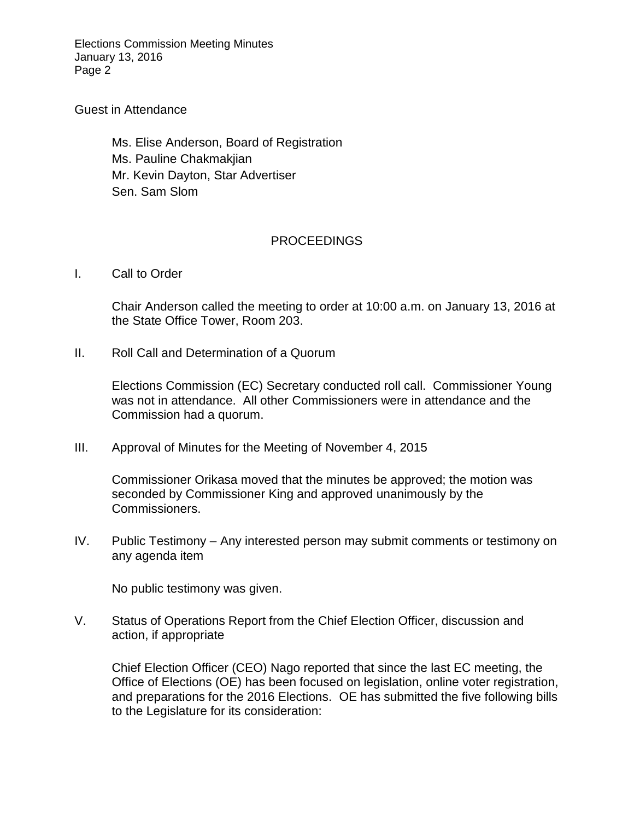Elections Commission Meeting Minutes January 13, 2016 Page 2

### Guest in Attendance

Ms. Elise Anderson, Board of Registration Ms. Pauline Chakmakjian Mr. Kevin Dayton, Star Advertiser Sen. Sam Slom

### PROCEEDINGS

I. Call to Order

 Chair Anderson called the meeting to order at 10:00 a.m. on January 13, 2016 at the State Office Tower, Room 203.

II. Roll Call and Determination of a Quorum

 Elections Commission (EC) Secretary conducted roll call. Commissioner Young was not in attendance. All other Commissioners were in attendance and the Commission had a quorum.

III. Approval of Minutes for the Meeting of November 4, 2015

 Commissioner Orikasa moved that the minutes be approved; the motion was seconded by Commissioner King and approved unanimously by the Commissioners.

 IV. Public Testimony – Any interested person may submit comments or testimony on any agenda item

No public testimony was given.

 V. Status of Operations Report from the Chief Election Officer, discussion and action, if appropriate

 Chief Election Officer (CEO) Nago reported that since the last EC meeting, the Office of Elections (OE) has been focused on legislation, online voter registration, and preparations for the 2016 Elections. OE has submitted the five following bills to the Legislature for its consideration: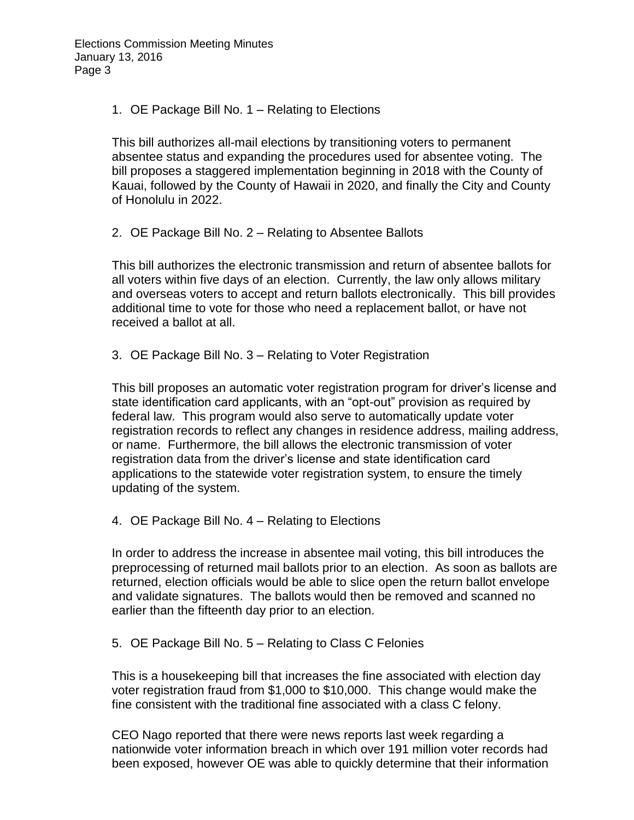1. OE Package Bill No. 1 – Relating to Elections

 This bill authorizes all-mail elections by transitioning voters to permanent absentee status and expanding the procedures used for absentee voting. The bill proposes a staggered implementation beginning in 2018 with the County of Kauai, followed by the County of Hawaii in 2020, and finally the City and County of Honolulu in 2022.

of Honolulu in 2022.<br>2. OE Package Bill No. 2 – Relating to Absentee Ballots

 This bill authorizes the electronic transmission and return of absentee ballots for and overseas voters to accept and return ballots electronically. This bill provides additional time to vote for those who need a replacement ballot, or have not all voters within five days of an election. Currently, the law only allows military received a ballot at all.

3. OE Package Bill No. 3 – Relating to Voter Registration

 This bill proposes an automatic voter registration program for driver's license and or name. Furthermore, the bill allows the electronic transmission of voter updating of the system. state identification card applicants, with an "opt-out" provision as required by federal law. This program would also serve to automatically update voter registration records to reflect any changes in residence address, mailing address, registration data from the driver's license and state identification card applications to the statewide voter registration system, to ensure the timely

4. OE Package Bill No. 4 – Relating to Elections

 preprocessing of returned mail ballots prior to an election. As soon as ballots are returned, election officials would be able to slice open the return ballot envelope In order to address the increase in absentee mail voting, this bill introduces the and validate signatures. The ballots would then be removed and scanned no earlier than the fifteenth day prior to an election.

5. OE Package Bill No. 5 – Relating to Class C Felonies

 This is a housekeeping bill that increases the fine associated with election day voter registration fraud from \$1,000 to \$10,000. This change would make the fine consistent with the traditional fine associated with a class C felony.

 CEO Nago reported that there were news reports last week regarding a nationwide voter information breach in which over 191 million voter records had been exposed, however OE was able to quickly determine that their information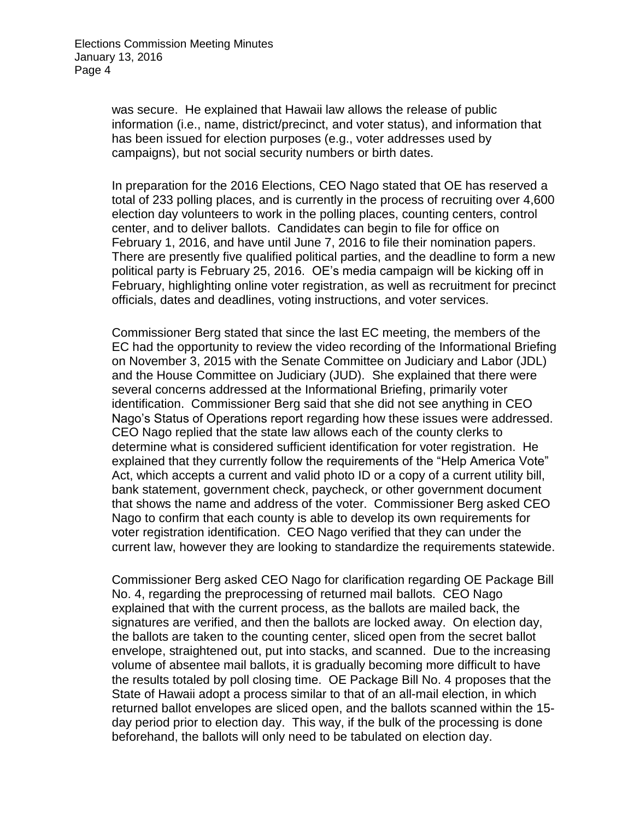was secure. He explained that Hawaii law allows the release of public information (i.e., name, district/precinct, and voter status), and information that has been issued for election purposes (e.g., voter addresses used by campaigns), but not social security numbers or birth dates.

 In preparation for the 2016 Elections, CEO Nago stated that OE has reserved a election day volunteers to work in the polling places, counting centers, control center, and to deliver ballots. Candidates can begin to file for office on February 1, 2016, and have until June 7, 2016 to file their nomination papers. There are presently five qualified political parties, and the deadline to form a new political party is February 25, 2016. OE's media campaign will be kicking off in officials, dates and deadlines, voting instructions, and voter services. total of 233 polling places, and is currently in the process of recruiting over 4,600 February, highlighting online voter registration, as well as recruitment for precinct

 Commissioner Berg stated that since the last EC meeting, the members of the on November 3, 2015 with the Senate Committee on Judiciary and Labor (JDL) and the House Committee on Judiciary (JUD). She explained that there were several concerns addressed at the Informational Briefing, primarily voter Nago's Status of Operations report regarding how these issues were addressed. explained that they currently follow the requirements of the "Help America Vote" Act, which accepts a current and valid photo ID or a copy of a current utility bill, that shows the name and address of the voter. Commissioner Berg asked CEO Nago to confirm that each county is able to develop its own requirements for voter registration identification. CEO Nago verified that they can under the current law, however they are looking to standardize the requirements statewide. EC had the opportunity to review the video recording of the Informational Briefing identification. Commissioner Berg said that she did not see anything in CEO CEO Nago replied that the state law allows each of the county clerks to determine what is considered sufficient identification for voter registration. He bank statement, government check, paycheck, or other government document

 Commissioner Berg asked CEO Nago for clarification regarding OE Package Bill explained that with the current process, as the ballots are mailed back, the signatures are verified, and then the ballots are locked away. On election day, the ballots are taken to the counting center, sliced open from the secret ballot envelope, straightened out, put into stacks, and scanned. Due to the increasing volume of absentee mail ballots, it is gradually becoming more difficult to have the results totaled by poll closing time. OE Package Bill No. 4 proposes that the State of Hawaii adopt a process similar to that of an all-mail election, in which returned ballot envelopes are sliced open, and the ballots scanned within the 15- day period prior to election day. This way, if the bulk of the processing is done No. 4, regarding the preprocessing of returned mail ballots. CEO Nago beforehand, the ballots will only need to be tabulated on election day.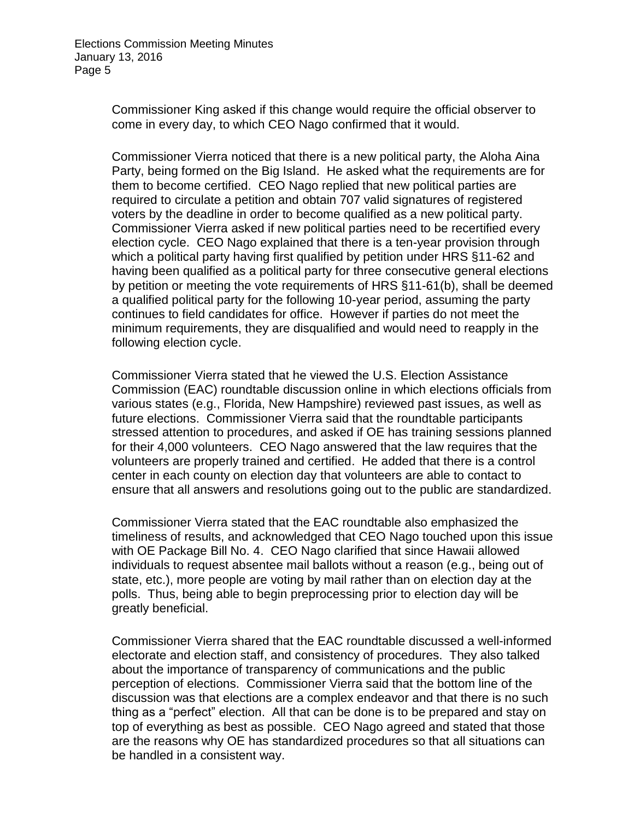Commissioner King asked if this change would require the official observer to come in every day, to which CEO Nago confirmed that it would.

 Commissioner Vierra noticed that there is a new political party, the Aloha Aina Party, being formed on the Big Island. He asked what the requirements are for them to become certified. CEO Nago replied that new political parties are required to circulate a petition and obtain 707 valid signatures of registered voters by the deadline in order to become qualified as a new political party. Commissioner Vierra asked if new political parties need to be recertified every election cycle. CEO Nago explained that there is a ten-year provision through having been qualified as a political party for three consecutive general elections by petition or meeting the vote requirements of HRS §11-61(b), shall be deemed continues to field candidates for office. However if parties do not meet the minimum requirements, they are disqualified and would need to reapply in the which a political party having first qualified by petition under HRS §11-62 and a qualified political party for the following 10-year period, assuming the party following election cycle.

 Commissioner Vierra stated that he viewed the U.S. Election Assistance Commission (EAC) roundtable discussion online in which elections officials from various states (e.g., Florida, New Hampshire) reviewed past issues, as well as for their 4,000 volunteers. CEO Nago answered that the law requires that the volunteers are properly trained and certified. He added that there is a control center in each county on election day that volunteers are able to contact to future elections. Commissioner Vierra said that the roundtable participants stressed attention to procedures, and asked if OE has training sessions planned ensure that all answers and resolutions going out to the public are standardized.

 with OE Package Bill No. 4. CEO Nago clarified that since Hawaii allowed individuals to request absentee mail ballots without a reason (e.g., being out of state, etc.), more people are voting by mail rather than on election day at the polls. Thus, being able to begin preprocessing prior to election day will be Commissioner Vierra stated that the EAC roundtable also emphasized the timeliness of results, and acknowledged that CEO Nago touched upon this issue greatly beneficial.

 electorate and election staff, and consistency of procedures. They also talked thing as a "perfect" election. All that can be done is to be prepared and stay on top of everything as best as possible. CEO Nago agreed and stated that those are the reasons why OE has standardized procedures so that all situations can Commissioner Vierra shared that the EAC roundtable discussed a well-informed about the importance of transparency of communications and the public perception of elections. Commissioner Vierra said that the bottom line of the discussion was that elections are a complex endeavor and that there is no such be handled in a consistent way.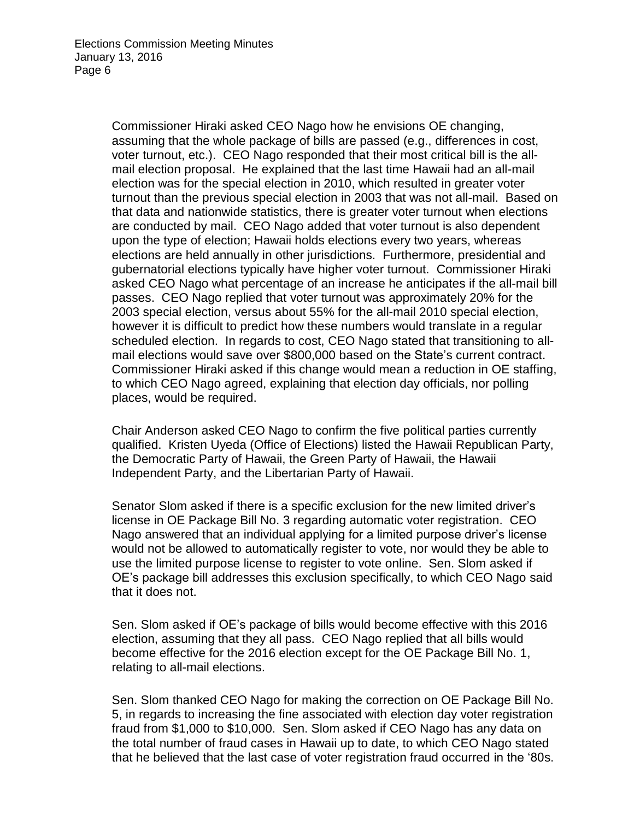assuming that the whole package of bills are passed (e.g., differences in cost, voter turnout, etc.). CEO Nago responded that their most critical bill is the all- turnout than the previous special election in 2003 that was not all-mail. Based on are conducted by mail. CEO Nago added that voter turnout is also dependent elections are held annually in other jurisdictions. Furthermore, presidential and gubernatorial elections typically have higher voter turnout. Commissioner Hiraki passes. CEO Nago replied that voter turnout was approximately 20% for the 2003 special election, versus about 55% for the all-mail 2010 special election, scheduled election. In regards to cost, CEO Nago stated that transitioning to all- mail elections would save over \$800,000 based on the State's current contract. to which CEO Nago agreed, explaining that election day officials, nor polling Commissioner Hiraki asked CEO Nago how he envisions OE changing, mail election proposal. He explained that the last time Hawaii had an all-mail election was for the special election in 2010, which resulted in greater voter that data and nationwide statistics, there is greater voter turnout when elections upon the type of election; Hawaii holds elections every two years, whereas asked CEO Nago what percentage of an increase he anticipates if the all-mail bill however it is difficult to predict how these numbers would translate in a regular Commissioner Hiraki asked if this change would mean a reduction in OE staffing, places, would be required.

 Chair Anderson asked CEO Nago to confirm the five political parties currently qualified. Kristen Uyeda (Office of Elections) listed the Hawaii Republican Party, the Democratic Party of Hawaii, the Green Party of Hawaii, the Hawaii Independent Party, and the Libertarian Party of Hawaii.

 Senator Slom asked if there is a specific exclusion for the new limited driver's use the limited purpose license to register to vote online. Sen. Slom asked if OE's package bill addresses this exclusion specifically, to which CEO Nago said that it does not. license in OE Package Bill No. 3 regarding automatic voter registration. CEO Nago answered that an individual applying for a limited purpose driver's license would not be allowed to automatically register to vote, nor would they be able to

that it does not.<br>Sen. Slom asked if OE's package of bills would become effective with this 2016 election, assuming that they all pass. CEO Nago replied that all bills would become effective for the 2016 election except for the OE Package Bill No. 1, relating to all-mail elections.

 Sen. Slom thanked CEO Nago for making the correction on OE Package Bill No. 5, in regards to increasing the fine associated with election day voter registration fraud from \$1,000 to \$10,000. Sen. Slom asked if CEO Nago has any data on the total number of fraud cases in Hawaii up to date, to which CEO Nago stated that he believed that the last case of voter registration fraud occurred in the '80s.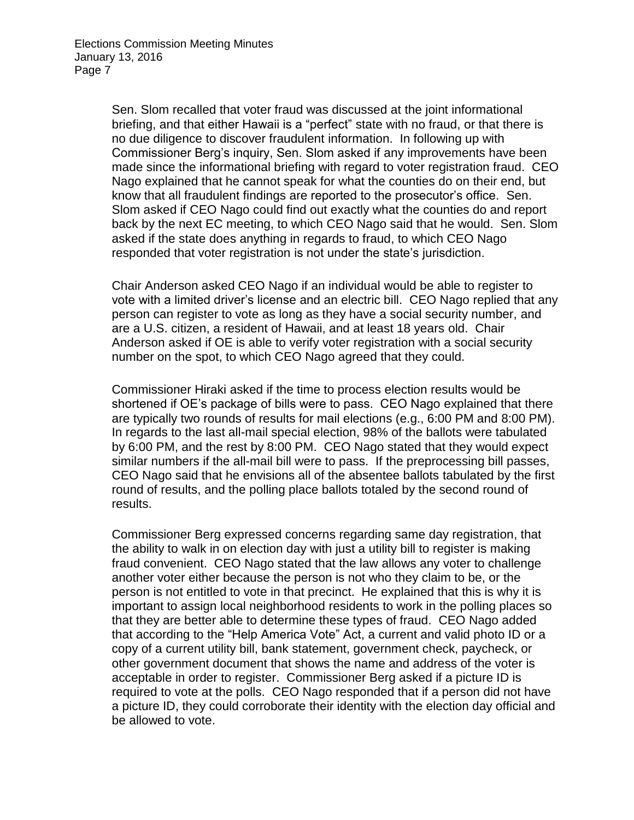briefing, and that either Hawaii is a "perfect" state with no fraud, or that there is no due diligence to discover fraudulent information. In following up with made since the informational briefing with regard to voter registration fraud. CEO Nago explained that he cannot speak for what the counties do on their end, but know that all fraudulent findings are reported to the prosecutor's office. Sen. asked if the state does anything in regards to fraud, to which CEO Nago Sen. Slom recalled that voter fraud was discussed at the joint informational Commissioner Berg's inquiry, Sen. Slom asked if any improvements have been Slom asked if CEO Nago could find out exactly what the counties do and report back by the next EC meeting, to which CEO Nago said that he would. Sen. Slom responded that voter registration is not under the state's jurisdiction.

 Chair Anderson asked CEO Nago if an individual would be able to register to vote with a limited driver's license and an electric bill. CEO Nago replied that any person can register to vote as long as they have a social security number, and Anderson asked if OE is able to verify voter registration with a social security number on the spot, to which CEO Nago agreed that they could. are a U.S. citizen, a resident of Hawaii, and at least 18 years old. Chair

 Commissioner Hiraki asked if the time to process election results would be similar numbers if the all-mail bill were to pass. If the preprocessing bill passes, CEO Nago said that he envisions all of the absentee ballots tabulated by the first round of results, and the polling place ballots totaled by the second round of shortened if OE's package of bills were to pass. CEO Nago explained that there are typically two rounds of results for mail elections (e.g., 6:00 PM and 8:00 PM). In regards to the last all-mail special election, 98% of the ballots were tabulated by 6:00 PM, and the rest by 8:00 PM. CEO Nago stated that they would expect results.

 the ability to walk in on election day with just a utility bill to register is making fraud convenient. CEO Nago stated that the law allows any voter to challenge another voter either because the person is not who they claim to be, or the important to assign local neighborhood residents to work in the polling places so that they are better able to determine these types of fraud. CEO Nago added that according to the "Help America Vote" Act, a current and valid photo ID or a other government document that shows the name and address of the voter is acceptable in order to register. Commissioner Berg asked if a picture ID is required to vote at the polls. CEO Nago responded that if a person did not have a picture ID, they could corroborate their identity with the election day official and Commissioner Berg expressed concerns regarding same day registration, that person is not entitled to vote in that precinct. He explained that this is why it is copy of a current utility bill, bank statement, government check, paycheck, or be allowed to vote.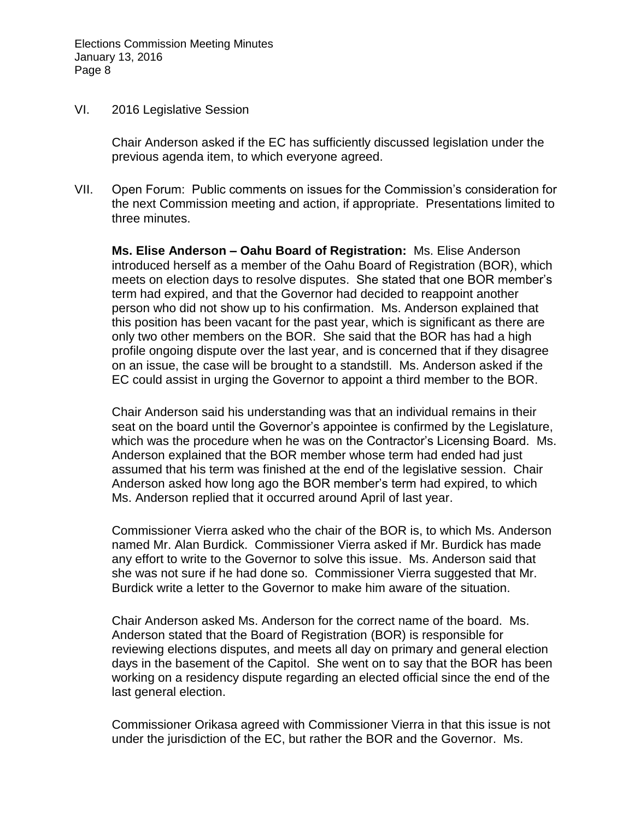#### VI. 2016 Legislative Session

 Chair Anderson asked if the EC has sufficiently discussed legislation under the previous agenda item, to which everyone agreed.

 three minutes. VII. Open Forum: Public comments on issues for the Commission's consideration for the next Commission meeting and action, if appropriate. Presentations limited to

 **Ms. Elise Anderson – Oahu Board of Registration:** Ms. Elise Anderson introduced herself as a member of the Oahu Board of Registration (BOR), which person who did not show up to his confirmation. Ms. Anderson explained that this position has been vacant for the past year, which is significant as there are only two other members on the BOR. She said that the BOR has had a high profile ongoing dispute over the last year, and is concerned that if they disagree on an issue, the case will be brought to a standstill. Ms. Anderson asked if the EC could assist in urging the Governor to appoint a third member to the BOR. meets on election days to resolve disputes. She stated that one BOR member's term had expired, and that the Governor had decided to reappoint another

 Chair Anderson said his understanding was that an individual remains in their seat on the board until the Governor's appointee is confirmed by the Legislature, which was the procedure when he was on the Contractor's Licensing Board. Ms. assumed that his term was finished at the end of the legislative session. Chair Ms. Anderson replied that it occurred around April of last year. Anderson explained that the BOR member whose term had ended had just Anderson asked how long ago the BOR member's term had expired, to which

 she was not sure if he had done so. Commissioner Vierra suggested that Mr. Burdick write a letter to the Governor to make him aware of the situation. Commissioner Vierra asked who the chair of the BOR is, to which Ms. Anderson named Mr. Alan Burdick. Commissioner Vierra asked if Mr. Burdick has made any effort to write to the Governor to solve this issue. Ms. Anderson said that

 Chair Anderson asked Ms. Anderson for the correct name of the board. Ms. Anderson stated that the Board of Registration (BOR) is responsible for reviewing elections disputes, and meets all day on primary and general election days in the basement of the Capitol. She went on to say that the BOR has been working on a residency dispute regarding an elected official since the end of the last general election.

 under the jurisdiction of the EC, but rather the BOR and the Governor. Ms. Commissioner Orikasa agreed with Commissioner Vierra in that this issue is not